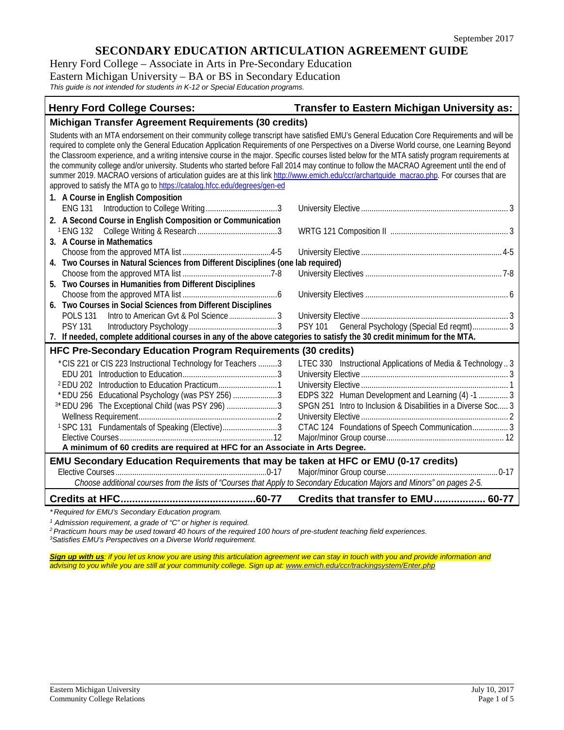Henry Ford College – Associate in Arts in Pre-Secondary Education Eastern Michigan University – BA or BS in Secondary Education *This guide is not intended for students in K-12 or Special Education programs.*

## **Henry Ford College Courses: Transfer to Eastern Michigan University as:**

**Michigan Transfer Agreement Requirements (30 credits)** Students with an MTA endorsement on their community college transcript have satisfied EMU's General Education Core Requirements and will be required to complete only the General Education Application Requirements of one Perspectives on a Diverse World course, one Learning Beyond the Classroom experience, and a writing intensive course in the major. Specific courses listed below for the MTA satisfy program requirements at the community college and/or university. Students who started before Fall 2014 may continue to follow the MACRAO Agreement until the end of summer 2019. MACRAO versions of articulation quides are at this link http://www.emich.edu/ccr/archartquide\_macrao.php. For courses that are approved to satisfy the MTA go t[o https://catalog.hfcc.edu/degrees/gen-ed](https://catalog.hfcc.edu/degrees/gen-ed) **1. A Course in English Composition** ENG 131 Introduction to College Writing..................................3 University Elective ...................................................................... 3 **2. A Second Course in English Composition or Communication** <sup>1</sup> ENG 132 College Writing & Research ......................................3 WRTG 121 Composition II ........................................................ 3 **3. A Course in Mathematics** Choose from the approved MTA list ..........................................4-5 University Elective ................................................................... 4-5 **4. Two Courses in Natural Sciences from Different Disciplines (one lab required)** Choose from the approved MTA list ..........................................7-8 University Electives ................................................................. 7-8 **5. Two Courses in Humanities from Different Disciplines** Choose from the approved MTA list .............................................6 University Electives .................................................................... 6 **6. Two Courses in Social Sciences from Different Disciplines** POLS 131 Intro to American Gvt & Pol Science......................... 3 University Elective ...................................................................... 3 PSY 131 Introductory Psychology..........................................3 PSY 101 General Psychology (Special Ed reqmt)................. 3 **7. If needed, complete additional courses in any of the above categories to satisfy the 30 credit minimum for the MTA. HFC Pre-Secondary Education Program Requirements (30 credits)** \*CIS 221 or CIS 223 Instructional Technology for Teachers .........3 LTEC 330 Instructional Applications of Media & Technology .. 3 EDU 201 Introduction to Education.............................................3 University Elective ...................................................................... 3 <sup>2</sup> EDU 202 Introduction to Education Practicum............................1 University Elective ...................................................................... 1 \* EDU 256 Educational Psychology (was PSY 256) ......................3 EDPS 322 Human Development and Learning (4) -1 ................ 3<br>\* EDU 296 The Exceptional Child (was PSY 296) ............................... SPGN 25 <sup>3\*</sup> EDU 296 The Exceptional Child (was PSY 296) ............................. 3 Wellness Requirement..................................................................2 University Elective ...................................................................... 2 CTAC 124 Foundations of Speech Communication................... 3 Elective Courses.........................................................................12 Major/minor Group course........................................................ 12 **A minimum of 60 credits are required at HFC for an Associate in Arts Degree. EMU Secondary Education Requirements that may be taken at HFC or EMU (0-17 credits)** Elective Courses........................................................................0-17 Major/minor Group course..................................................... 0-17 *Choose additional courses from the lists of "Courses that Apply to Secondary Education Majors and Minors" on pages 2-5.* **Credits at HFC...............................................60-77 Credits that transfer to EMU.................. 60-77**

*\* Required for EMU's Secondary Education program.* 

*<sup>1</sup> Admission requirement, a grade of "C" or higher is required.*

*2 Practicum hours may be used toward 40 hours of the required 100 hours of pre-student teaching field experiences. 3*

*Satisfies EMU's Perspectives on a Diverse World requirement.*

**Sign up with us***:* if you let us know you are using this articulation agreement we can stay in touch with you and provide information and *advising to you while you are still at your community college. Sign up at: [www.emich.edu/ccr/trackingsystem/Enter.php](http://www.emich.edu/ccr/trackingsystem/Enter.php)*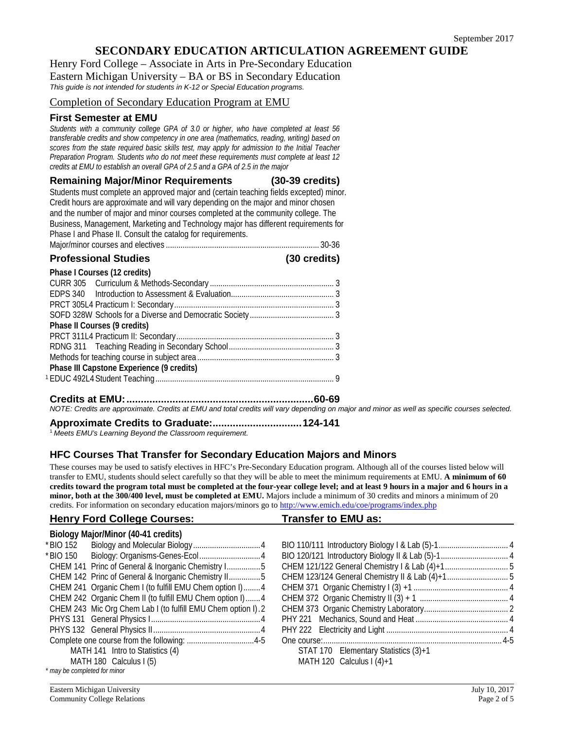Henry Ford College – Associate in Arts in Pre-Secondary Education Eastern Michigan University – BA or BS in Secondary Education *This guide is not intended for students in K-12 or Special Education programs.*

Completion of Secondary Education Program at EMU

## **First Semester at EMU**

*Students with a community college GPA of 3.0 or higher, who have completed at least 56 transferable credits and show competency in one area (mathematics, reading, writing) based on scores from the state required basic skills test, may apply for admission to the Initial Teacher Preparation Program. Students who do not meet these requirements must complete at least 12 credits at EMU to establish an overall GPA of 2.5 and a GPA of 2.5 in the major* 

**Remaining Major/Minor Requirements (30-39 credits)**

Students must complete an approved major and (certain teaching fields excepted) minor. Credit hours are approximate and will vary depending on the major and minor chosen and the number of major and minor courses completed at the community college. The Business, Management, Marketing and Technology major has different requirements for Phase I and Phase II. Consult the catalog for requirements.

| <b>Professional Studies</b> | (30 credits) |
|-----------------------------|--------------|
|                             |              |

| Phase I Courses (12 credits)              |  |
|-------------------------------------------|--|
|                                           |  |
|                                           |  |
|                                           |  |
|                                           |  |
| Phase II Courses (9 credits)              |  |
|                                           |  |
|                                           |  |
|                                           |  |
| Phase III Capstone Experience (9 credits) |  |
|                                           |  |
|                                           |  |

**Credits at EMU:.................................................................60-69**

*NOTE: Credits are approximate. Credits at EMU and total credits will vary depending on major and minor as well as specific courses selected.*

**Approximate Credits to Graduate:...............................124-141**

<sup>1</sup> *Meets EMU's Learning Beyond the Classroom requirement.*

## **HFC Courses That Transfer for Secondary Education Majors and Minors**

These courses may be used to satisfy electives in HFC's Pre-Secondary Education program. Although all of the courses listed below will transfer to EMU, students should select carefully so that they will be able to meet the minimum requirements at EMU. **A minimum of 60 credits toward the program total must be completed at the four-year college level; and at least 9 hours in a major and 6 hours in a minor, both at the 300/400 level, must be completed at EMU.** Majors include a minimum of 30 credits and minors a minimum of 20 credits. For information on secondary education majors/minors go to<http://www.emich.edu/coe/programs/index.php>

| <b>Henry Ford College Courses:</b>                           | <b>Transfer to EMU as:</b>           |
|--------------------------------------------------------------|--------------------------------------|
| Biology Major/Minor (40-41 credits)                          |                                      |
|                                                              |                                      |
| * BIO 150                                                    |                                      |
| CHEM 141 Princ of General & Inorganic Chemistry I5           |                                      |
| CHEM 142 Princ of General & Inorganic Chemistry II5          |                                      |
| CHEM 241 Organic Chem I (to fulfill EMU Chem option I)4      |                                      |
| CHEM 242 Organic Chem II (to fulfill EMU Chem option I) 4    |                                      |
| CHEM 243 Mic Org Chem Lab I (to fulfill EMU Chem option I).2 |                                      |
|                                                              |                                      |
|                                                              |                                      |
|                                                              |                                      |
| MATH 141 Intro to Statistics (4)                             | STAT 170 Elementary Statistics (3)+1 |
| MATH 180 Calculus I (5)                                      | MATH 120 Calculus $\left(4\right)+1$ |
| * may be completed for minor                                 |                                      |

Eastern Michigan University<br>
Community College Relations<br>
Page 2 of 5 Community College Relations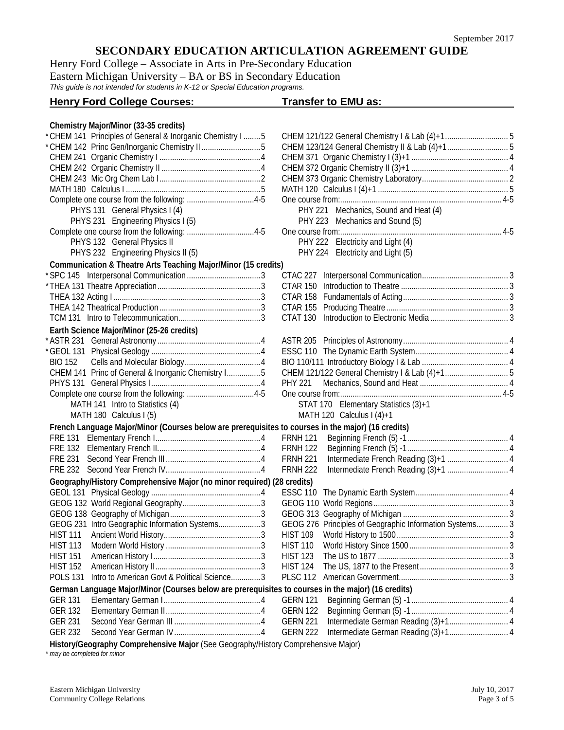Henry Ford College – Associate in Arts in Pre-Secondary Education Eastern Michigan University – BA or BS in Secondary Education *This guide is not intended for students in K-12 or Special Education programs.*

## **Henry Ford College Courses: Transfer to EMU as:**

**Chemistry Major/Minor (33-35 credits)**

| * CHEM 142 Princ Gen/Inorganic Chemistry II 5<br>PHY 221 Mechanics, Sound and Heat (4)<br>PHYS 131 General Physics I (4)<br>PHYS 231 Engineering Physics I (5)<br>PHY 223 Mechanics and Sound (5)<br>PHY 222 Electricity and Light (4)<br>PHYS 132 General Physics II<br>PHYS 232 Engineering Physics II (5)<br>PHY 224 Electricity and Light (5)<br>Communication & Theatre Arts Teaching Major/Minor (15 credits)<br>CTAC 227<br>CTAT 130<br>Earth Science Major/Minor (25-26 credits)<br><b>BIO 152</b><br>CHEM 141 Princ of General & Inorganic Chemistry I5<br><b>PHY 221</b><br>MATH 141 Intro to Statistics (4)<br>STAT 170 Elementary Statistics (3)+1<br>MATH 180 Calculus I (5)<br>MATH 120 Calculus I $(4)+1$<br>French Language Major/Minor (Courses below are prerequisites to courses in the major) (16 credits)<br><b>FRNH 121</b><br><b>FRNH 122</b><br><b>FRNH 221</b><br><b>FRNH 222</b><br>Geography/History Comprehensive Major (no minor required) (28 credits)<br>GEOG 276 Principles of Geographic Information Systems 3<br>GEOG 231 Intro Geographic Information Systems3<br><b>HIST 113</b><br><b>HIST 110</b><br><b>HIST 151</b><br><b>HIST 123</b><br><b>HIST 152</b><br><b>HIST 124</b><br>Intro to American Govt & Political Science3<br><b>POLS 131</b><br>German Language Major/Minor (Courses below are prerequisites to courses in the major) (16 credits)<br><b>GER 131</b><br><b>GERN 121</b><br><b>GER 132</b><br><b>GERN 122</b><br><b>GER 231</b><br><b>GERN 221</b><br><b>GER 232</b><br><b>GERN 222</b><br>History/Geography Comprehensive Major (See Geography/History Comprehensive Major) | * CHEM 141 Principles of General & Inorganic Chemistry I  5 |  |  |
|--------------------------------------------------------------------------------------------------------------------------------------------------------------------------------------------------------------------------------------------------------------------------------------------------------------------------------------------------------------------------------------------------------------------------------------------------------------------------------------------------------------------------------------------------------------------------------------------------------------------------------------------------------------------------------------------------------------------------------------------------------------------------------------------------------------------------------------------------------------------------------------------------------------------------------------------------------------------------------------------------------------------------------------------------------------------------------------------------------------------------------------------------------------------------------------------------------------------------------------------------------------------------------------------------------------------------------------------------------------------------------------------------------------------------------------------------------------------------------------------------------------------------------------------------------------------------------------------------------------------------------------|-------------------------------------------------------------|--|--|
|                                                                                                                                                                                                                                                                                                                                                                                                                                                                                                                                                                                                                                                                                                                                                                                                                                                                                                                                                                                                                                                                                                                                                                                                                                                                                                                                                                                                                                                                                                                                                                                                                                      |                                                             |  |  |
|                                                                                                                                                                                                                                                                                                                                                                                                                                                                                                                                                                                                                                                                                                                                                                                                                                                                                                                                                                                                                                                                                                                                                                                                                                                                                                                                                                                                                                                                                                                                                                                                                                      |                                                             |  |  |
|                                                                                                                                                                                                                                                                                                                                                                                                                                                                                                                                                                                                                                                                                                                                                                                                                                                                                                                                                                                                                                                                                                                                                                                                                                                                                                                                                                                                                                                                                                                                                                                                                                      |                                                             |  |  |
|                                                                                                                                                                                                                                                                                                                                                                                                                                                                                                                                                                                                                                                                                                                                                                                                                                                                                                                                                                                                                                                                                                                                                                                                                                                                                                                                                                                                                                                                                                                                                                                                                                      |                                                             |  |  |
|                                                                                                                                                                                                                                                                                                                                                                                                                                                                                                                                                                                                                                                                                                                                                                                                                                                                                                                                                                                                                                                                                                                                                                                                                                                                                                                                                                                                                                                                                                                                                                                                                                      |                                                             |  |  |
|                                                                                                                                                                                                                                                                                                                                                                                                                                                                                                                                                                                                                                                                                                                                                                                                                                                                                                                                                                                                                                                                                                                                                                                                                                                                                                                                                                                                                                                                                                                                                                                                                                      |                                                             |  |  |
|                                                                                                                                                                                                                                                                                                                                                                                                                                                                                                                                                                                                                                                                                                                                                                                                                                                                                                                                                                                                                                                                                                                                                                                                                                                                                                                                                                                                                                                                                                                                                                                                                                      |                                                             |  |  |
|                                                                                                                                                                                                                                                                                                                                                                                                                                                                                                                                                                                                                                                                                                                                                                                                                                                                                                                                                                                                                                                                                                                                                                                                                                                                                                                                                                                                                                                                                                                                                                                                                                      |                                                             |  |  |
|                                                                                                                                                                                                                                                                                                                                                                                                                                                                                                                                                                                                                                                                                                                                                                                                                                                                                                                                                                                                                                                                                                                                                                                                                                                                                                                                                                                                                                                                                                                                                                                                                                      |                                                             |  |  |
|                                                                                                                                                                                                                                                                                                                                                                                                                                                                                                                                                                                                                                                                                                                                                                                                                                                                                                                                                                                                                                                                                                                                                                                                                                                                                                                                                                                                                                                                                                                                                                                                                                      |                                                             |  |  |
|                                                                                                                                                                                                                                                                                                                                                                                                                                                                                                                                                                                                                                                                                                                                                                                                                                                                                                                                                                                                                                                                                                                                                                                                                                                                                                                                                                                                                                                                                                                                                                                                                                      |                                                             |  |  |
|                                                                                                                                                                                                                                                                                                                                                                                                                                                                                                                                                                                                                                                                                                                                                                                                                                                                                                                                                                                                                                                                                                                                                                                                                                                                                                                                                                                                                                                                                                                                                                                                                                      |                                                             |  |  |
|                                                                                                                                                                                                                                                                                                                                                                                                                                                                                                                                                                                                                                                                                                                                                                                                                                                                                                                                                                                                                                                                                                                                                                                                                                                                                                                                                                                                                                                                                                                                                                                                                                      |                                                             |  |  |
|                                                                                                                                                                                                                                                                                                                                                                                                                                                                                                                                                                                                                                                                                                                                                                                                                                                                                                                                                                                                                                                                                                                                                                                                                                                                                                                                                                                                                                                                                                                                                                                                                                      |                                                             |  |  |
|                                                                                                                                                                                                                                                                                                                                                                                                                                                                                                                                                                                                                                                                                                                                                                                                                                                                                                                                                                                                                                                                                                                                                                                                                                                                                                                                                                                                                                                                                                                                                                                                                                      |                                                             |  |  |
|                                                                                                                                                                                                                                                                                                                                                                                                                                                                                                                                                                                                                                                                                                                                                                                                                                                                                                                                                                                                                                                                                                                                                                                                                                                                                                                                                                                                                                                                                                                                                                                                                                      |                                                             |  |  |
|                                                                                                                                                                                                                                                                                                                                                                                                                                                                                                                                                                                                                                                                                                                                                                                                                                                                                                                                                                                                                                                                                                                                                                                                                                                                                                                                                                                                                                                                                                                                                                                                                                      |                                                             |  |  |
|                                                                                                                                                                                                                                                                                                                                                                                                                                                                                                                                                                                                                                                                                                                                                                                                                                                                                                                                                                                                                                                                                                                                                                                                                                                                                                                                                                                                                                                                                                                                                                                                                                      |                                                             |  |  |
|                                                                                                                                                                                                                                                                                                                                                                                                                                                                                                                                                                                                                                                                                                                                                                                                                                                                                                                                                                                                                                                                                                                                                                                                                                                                                                                                                                                                                                                                                                                                                                                                                                      |                                                             |  |  |
|                                                                                                                                                                                                                                                                                                                                                                                                                                                                                                                                                                                                                                                                                                                                                                                                                                                                                                                                                                                                                                                                                                                                                                                                                                                                                                                                                                                                                                                                                                                                                                                                                                      |                                                             |  |  |
|                                                                                                                                                                                                                                                                                                                                                                                                                                                                                                                                                                                                                                                                                                                                                                                                                                                                                                                                                                                                                                                                                                                                                                                                                                                                                                                                                                                                                                                                                                                                                                                                                                      |                                                             |  |  |
|                                                                                                                                                                                                                                                                                                                                                                                                                                                                                                                                                                                                                                                                                                                                                                                                                                                                                                                                                                                                                                                                                                                                                                                                                                                                                                                                                                                                                                                                                                                                                                                                                                      |                                                             |  |  |
|                                                                                                                                                                                                                                                                                                                                                                                                                                                                                                                                                                                                                                                                                                                                                                                                                                                                                                                                                                                                                                                                                                                                                                                                                                                                                                                                                                                                                                                                                                                                                                                                                                      |                                                             |  |  |
|                                                                                                                                                                                                                                                                                                                                                                                                                                                                                                                                                                                                                                                                                                                                                                                                                                                                                                                                                                                                                                                                                                                                                                                                                                                                                                                                                                                                                                                                                                                                                                                                                                      |                                                             |  |  |
|                                                                                                                                                                                                                                                                                                                                                                                                                                                                                                                                                                                                                                                                                                                                                                                                                                                                                                                                                                                                                                                                                                                                                                                                                                                                                                                                                                                                                                                                                                                                                                                                                                      |                                                             |  |  |
|                                                                                                                                                                                                                                                                                                                                                                                                                                                                                                                                                                                                                                                                                                                                                                                                                                                                                                                                                                                                                                                                                                                                                                                                                                                                                                                                                                                                                                                                                                                                                                                                                                      |                                                             |  |  |
|                                                                                                                                                                                                                                                                                                                                                                                                                                                                                                                                                                                                                                                                                                                                                                                                                                                                                                                                                                                                                                                                                                                                                                                                                                                                                                                                                                                                                                                                                                                                                                                                                                      |                                                             |  |  |
|                                                                                                                                                                                                                                                                                                                                                                                                                                                                                                                                                                                                                                                                                                                                                                                                                                                                                                                                                                                                                                                                                                                                                                                                                                                                                                                                                                                                                                                                                                                                                                                                                                      |                                                             |  |  |
|                                                                                                                                                                                                                                                                                                                                                                                                                                                                                                                                                                                                                                                                                                                                                                                                                                                                                                                                                                                                                                                                                                                                                                                                                                                                                                                                                                                                                                                                                                                                                                                                                                      |                                                             |  |  |
|                                                                                                                                                                                                                                                                                                                                                                                                                                                                                                                                                                                                                                                                                                                                                                                                                                                                                                                                                                                                                                                                                                                                                                                                                                                                                                                                                                                                                                                                                                                                                                                                                                      |                                                             |  |  |
|                                                                                                                                                                                                                                                                                                                                                                                                                                                                                                                                                                                                                                                                                                                                                                                                                                                                                                                                                                                                                                                                                                                                                                                                                                                                                                                                                                                                                                                                                                                                                                                                                                      |                                                             |  |  |
|                                                                                                                                                                                                                                                                                                                                                                                                                                                                                                                                                                                                                                                                                                                                                                                                                                                                                                                                                                                                                                                                                                                                                                                                                                                                                                                                                                                                                                                                                                                                                                                                                                      |                                                             |  |  |
|                                                                                                                                                                                                                                                                                                                                                                                                                                                                                                                                                                                                                                                                                                                                                                                                                                                                                                                                                                                                                                                                                                                                                                                                                                                                                                                                                                                                                                                                                                                                                                                                                                      |                                                             |  |  |
|                                                                                                                                                                                                                                                                                                                                                                                                                                                                                                                                                                                                                                                                                                                                                                                                                                                                                                                                                                                                                                                                                                                                                                                                                                                                                                                                                                                                                                                                                                                                                                                                                                      |                                                             |  |  |
|                                                                                                                                                                                                                                                                                                                                                                                                                                                                                                                                                                                                                                                                                                                                                                                                                                                                                                                                                                                                                                                                                                                                                                                                                                                                                                                                                                                                                                                                                                                                                                                                                                      |                                                             |  |  |
|                                                                                                                                                                                                                                                                                                                                                                                                                                                                                                                                                                                                                                                                                                                                                                                                                                                                                                                                                                                                                                                                                                                                                                                                                                                                                                                                                                                                                                                                                                                                                                                                                                      |                                                             |  |  |
|                                                                                                                                                                                                                                                                                                                                                                                                                                                                                                                                                                                                                                                                                                                                                                                                                                                                                                                                                                                                                                                                                                                                                                                                                                                                                                                                                                                                                                                                                                                                                                                                                                      |                                                             |  |  |
|                                                                                                                                                                                                                                                                                                                                                                                                                                                                                                                                                                                                                                                                                                                                                                                                                                                                                                                                                                                                                                                                                                                                                                                                                                                                                                                                                                                                                                                                                                                                                                                                                                      |                                                             |  |  |
|                                                                                                                                                                                                                                                                                                                                                                                                                                                                                                                                                                                                                                                                                                                                                                                                                                                                                                                                                                                                                                                                                                                                                                                                                                                                                                                                                                                                                                                                                                                                                                                                                                      |                                                             |  |  |
|                                                                                                                                                                                                                                                                                                                                                                                                                                                                                                                                                                                                                                                                                                                                                                                                                                                                                                                                                                                                                                                                                                                                                                                                                                                                                                                                                                                                                                                                                                                                                                                                                                      |                                                             |  |  |
|                                                                                                                                                                                                                                                                                                                                                                                                                                                                                                                                                                                                                                                                                                                                                                                                                                                                                                                                                                                                                                                                                                                                                                                                                                                                                                                                                                                                                                                                                                                                                                                                                                      |                                                             |  |  |
|                                                                                                                                                                                                                                                                                                                                                                                                                                                                                                                                                                                                                                                                                                                                                                                                                                                                                                                                                                                                                                                                                                                                                                                                                                                                                                                                                                                                                                                                                                                                                                                                                                      |                                                             |  |  |
|                                                                                                                                                                                                                                                                                                                                                                                                                                                                                                                                                                                                                                                                                                                                                                                                                                                                                                                                                                                                                                                                                                                                                                                                                                                                                                                                                                                                                                                                                                                                                                                                                                      |                                                             |  |  |
|                                                                                                                                                                                                                                                                                                                                                                                                                                                                                                                                                                                                                                                                                                                                                                                                                                                                                                                                                                                                                                                                                                                                                                                                                                                                                                                                                                                                                                                                                                                                                                                                                                      |                                                             |  |  |
|                                                                                                                                                                                                                                                                                                                                                                                                                                                                                                                                                                                                                                                                                                                                                                                                                                                                                                                                                                                                                                                                                                                                                                                                                                                                                                                                                                                                                                                                                                                                                                                                                                      |                                                             |  |  |
|                                                                                                                                                                                                                                                                                                                                                                                                                                                                                                                                                                                                                                                                                                                                                                                                                                                                                                                                                                                                                                                                                                                                                                                                                                                                                                                                                                                                                                                                                                                                                                                                                                      |                                                             |  |  |
|                                                                                                                                                                                                                                                                                                                                                                                                                                                                                                                                                                                                                                                                                                                                                                                                                                                                                                                                                                                                                                                                                                                                                                                                                                                                                                                                                                                                                                                                                                                                                                                                                                      |                                                             |  |  |

*\* may be completed for minor*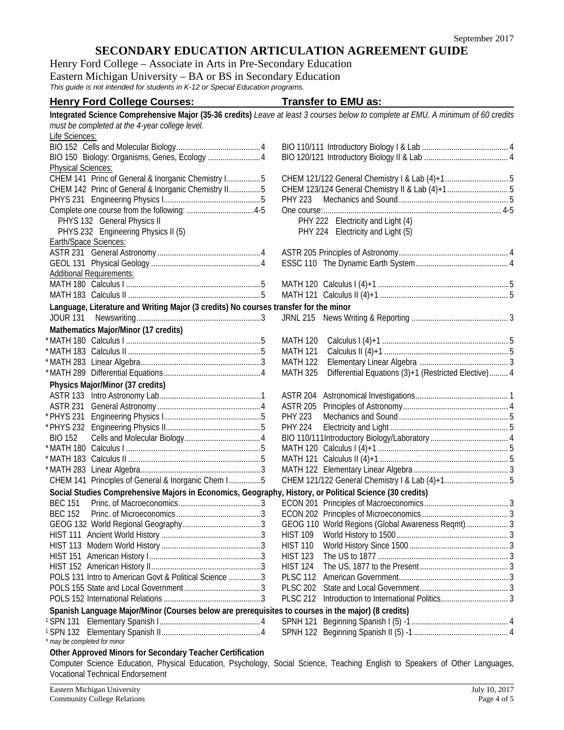Henry Ford College – Associate in Arts in Pre-Secondary Education Eastern Michigan University – BA or BS in Secondary Education *This guide is not intended for students in K-12 or Special Education programs.*

## **Henry Ford College Courses: Transfer to EMU as:**

| Life Sciences:<br>BIO 150 Biology: Organisms, Genes, Ecology  4<br><b>Physical Sciences:</b><br>CHEM 141 Princ of General & Inorganic Chemistry I5<br>CHEM 142 Princ of General & Inorganic Chemistry II5<br><b>PHY 223</b><br>PHYS 132 General Physics II<br>PHY 222 Electricity and Light (4)<br>PHYS 232 Engineering Physics II (5)<br>PHY 224 Electricity and Light (5)<br>Earth/Space Sciences:<br><b>Additional Requirements:</b><br>Language, Literature and Writing Major (3 credits) No courses transfer for the minor<br>JOUR 131<br>Mathematics Major/Minor (17 credits)<br><b>MATH 120</b><br><b>MATH 121</b><br><b>MATH 122</b><br>Differential Equations (3)+1 (Restricted Elective) 4<br><b>MATH 325</b><br>Physics Major/Minor (37 credits)<br><b>ASTR 204</b><br><b>ASTR 205</b><br><b>PHY 223</b><br><b>PHY 224</b><br><b>BIO 152</b><br>CHEM 141 Principles of General & Inorganic Chem I5<br>Social Studies Comprehensive Majors in Economics, Geography, History, or Political Science (30 credits)<br><b>BEC 151</b><br><b>BEC 152</b><br>GEOG 110 World Regions (Global Awareness Reqmt) 3<br><b>HIST 109</b><br><b>HIST 110</b><br><b>HIST 123</b><br><b>HIST 124</b><br>POLS 131 Intro to American Govt & Political Science  3<br><b>PLSC 112</b><br><b>PLSC 202</b><br><b>PLSC 212</b><br>Spanish Language Major/Minor (Courses below are prerequisites to courses in the major) (8 credits)<br>may be completed for minor<br>Other Approved Minors for Secondary Teacher Certification<br>Computer Science Education, Physical Education, Psychology, Social Science, Teaching English to Speakers of Other Languages, | must be completed at the 4-year college level. | Integrated Science Comprehensive Major (35-36 credits) Leave at least 3 courses below to complete at EMU. A minimum of 60 credits |
|---------------------------------------------------------------------------------------------------------------------------------------------------------------------------------------------------------------------------------------------------------------------------------------------------------------------------------------------------------------------------------------------------------------------------------------------------------------------------------------------------------------------------------------------------------------------------------------------------------------------------------------------------------------------------------------------------------------------------------------------------------------------------------------------------------------------------------------------------------------------------------------------------------------------------------------------------------------------------------------------------------------------------------------------------------------------------------------------------------------------------------------------------------------------------------------------------------------------------------------------------------------------------------------------------------------------------------------------------------------------------------------------------------------------------------------------------------------------------------------------------------------------------------------------------------------------------------------------------------------------------------------------------|------------------------------------------------|-----------------------------------------------------------------------------------------------------------------------------------|
|                                                                                                                                                                                                                                                                                                                                                                                                                                                                                                                                                                                                                                                                                                                                                                                                                                                                                                                                                                                                                                                                                                                                                                                                                                                                                                                                                                                                                                                                                                                                                                                                                                                   |                                                |                                                                                                                                   |
|                                                                                                                                                                                                                                                                                                                                                                                                                                                                                                                                                                                                                                                                                                                                                                                                                                                                                                                                                                                                                                                                                                                                                                                                                                                                                                                                                                                                                                                                                                                                                                                                                                                   |                                                |                                                                                                                                   |
|                                                                                                                                                                                                                                                                                                                                                                                                                                                                                                                                                                                                                                                                                                                                                                                                                                                                                                                                                                                                                                                                                                                                                                                                                                                                                                                                                                                                                                                                                                                                                                                                                                                   |                                                |                                                                                                                                   |
|                                                                                                                                                                                                                                                                                                                                                                                                                                                                                                                                                                                                                                                                                                                                                                                                                                                                                                                                                                                                                                                                                                                                                                                                                                                                                                                                                                                                                                                                                                                                                                                                                                                   |                                                |                                                                                                                                   |
|                                                                                                                                                                                                                                                                                                                                                                                                                                                                                                                                                                                                                                                                                                                                                                                                                                                                                                                                                                                                                                                                                                                                                                                                                                                                                                                                                                                                                                                                                                                                                                                                                                                   |                                                |                                                                                                                                   |
|                                                                                                                                                                                                                                                                                                                                                                                                                                                                                                                                                                                                                                                                                                                                                                                                                                                                                                                                                                                                                                                                                                                                                                                                                                                                                                                                                                                                                                                                                                                                                                                                                                                   |                                                |                                                                                                                                   |
|                                                                                                                                                                                                                                                                                                                                                                                                                                                                                                                                                                                                                                                                                                                                                                                                                                                                                                                                                                                                                                                                                                                                                                                                                                                                                                                                                                                                                                                                                                                                                                                                                                                   |                                                |                                                                                                                                   |
|                                                                                                                                                                                                                                                                                                                                                                                                                                                                                                                                                                                                                                                                                                                                                                                                                                                                                                                                                                                                                                                                                                                                                                                                                                                                                                                                                                                                                                                                                                                                                                                                                                                   |                                                |                                                                                                                                   |
|                                                                                                                                                                                                                                                                                                                                                                                                                                                                                                                                                                                                                                                                                                                                                                                                                                                                                                                                                                                                                                                                                                                                                                                                                                                                                                                                                                                                                                                                                                                                                                                                                                                   |                                                |                                                                                                                                   |
|                                                                                                                                                                                                                                                                                                                                                                                                                                                                                                                                                                                                                                                                                                                                                                                                                                                                                                                                                                                                                                                                                                                                                                                                                                                                                                                                                                                                                                                                                                                                                                                                                                                   |                                                |                                                                                                                                   |
|                                                                                                                                                                                                                                                                                                                                                                                                                                                                                                                                                                                                                                                                                                                                                                                                                                                                                                                                                                                                                                                                                                                                                                                                                                                                                                                                                                                                                                                                                                                                                                                                                                                   |                                                |                                                                                                                                   |
|                                                                                                                                                                                                                                                                                                                                                                                                                                                                                                                                                                                                                                                                                                                                                                                                                                                                                                                                                                                                                                                                                                                                                                                                                                                                                                                                                                                                                                                                                                                                                                                                                                                   |                                                |                                                                                                                                   |
|                                                                                                                                                                                                                                                                                                                                                                                                                                                                                                                                                                                                                                                                                                                                                                                                                                                                                                                                                                                                                                                                                                                                                                                                                                                                                                                                                                                                                                                                                                                                                                                                                                                   |                                                |                                                                                                                                   |
|                                                                                                                                                                                                                                                                                                                                                                                                                                                                                                                                                                                                                                                                                                                                                                                                                                                                                                                                                                                                                                                                                                                                                                                                                                                                                                                                                                                                                                                                                                                                                                                                                                                   |                                                |                                                                                                                                   |
|                                                                                                                                                                                                                                                                                                                                                                                                                                                                                                                                                                                                                                                                                                                                                                                                                                                                                                                                                                                                                                                                                                                                                                                                                                                                                                                                                                                                                                                                                                                                                                                                                                                   |                                                |                                                                                                                                   |
|                                                                                                                                                                                                                                                                                                                                                                                                                                                                                                                                                                                                                                                                                                                                                                                                                                                                                                                                                                                                                                                                                                                                                                                                                                                                                                                                                                                                                                                                                                                                                                                                                                                   |                                                |                                                                                                                                   |
|                                                                                                                                                                                                                                                                                                                                                                                                                                                                                                                                                                                                                                                                                                                                                                                                                                                                                                                                                                                                                                                                                                                                                                                                                                                                                                                                                                                                                                                                                                                                                                                                                                                   |                                                |                                                                                                                                   |
|                                                                                                                                                                                                                                                                                                                                                                                                                                                                                                                                                                                                                                                                                                                                                                                                                                                                                                                                                                                                                                                                                                                                                                                                                                                                                                                                                                                                                                                                                                                                                                                                                                                   |                                                |                                                                                                                                   |
|                                                                                                                                                                                                                                                                                                                                                                                                                                                                                                                                                                                                                                                                                                                                                                                                                                                                                                                                                                                                                                                                                                                                                                                                                                                                                                                                                                                                                                                                                                                                                                                                                                                   |                                                |                                                                                                                                   |
|                                                                                                                                                                                                                                                                                                                                                                                                                                                                                                                                                                                                                                                                                                                                                                                                                                                                                                                                                                                                                                                                                                                                                                                                                                                                                                                                                                                                                                                                                                                                                                                                                                                   |                                                |                                                                                                                                   |
|                                                                                                                                                                                                                                                                                                                                                                                                                                                                                                                                                                                                                                                                                                                                                                                                                                                                                                                                                                                                                                                                                                                                                                                                                                                                                                                                                                                                                                                                                                                                                                                                                                                   |                                                |                                                                                                                                   |
|                                                                                                                                                                                                                                                                                                                                                                                                                                                                                                                                                                                                                                                                                                                                                                                                                                                                                                                                                                                                                                                                                                                                                                                                                                                                                                                                                                                                                                                                                                                                                                                                                                                   |                                                |                                                                                                                                   |
|                                                                                                                                                                                                                                                                                                                                                                                                                                                                                                                                                                                                                                                                                                                                                                                                                                                                                                                                                                                                                                                                                                                                                                                                                                                                                                                                                                                                                                                                                                                                                                                                                                                   |                                                |                                                                                                                                   |
|                                                                                                                                                                                                                                                                                                                                                                                                                                                                                                                                                                                                                                                                                                                                                                                                                                                                                                                                                                                                                                                                                                                                                                                                                                                                                                                                                                                                                                                                                                                                                                                                                                                   |                                                |                                                                                                                                   |
|                                                                                                                                                                                                                                                                                                                                                                                                                                                                                                                                                                                                                                                                                                                                                                                                                                                                                                                                                                                                                                                                                                                                                                                                                                                                                                                                                                                                                                                                                                                                                                                                                                                   |                                                |                                                                                                                                   |
|                                                                                                                                                                                                                                                                                                                                                                                                                                                                                                                                                                                                                                                                                                                                                                                                                                                                                                                                                                                                                                                                                                                                                                                                                                                                                                                                                                                                                                                                                                                                                                                                                                                   |                                                |                                                                                                                                   |
|                                                                                                                                                                                                                                                                                                                                                                                                                                                                                                                                                                                                                                                                                                                                                                                                                                                                                                                                                                                                                                                                                                                                                                                                                                                                                                                                                                                                                                                                                                                                                                                                                                                   |                                                |                                                                                                                                   |
|                                                                                                                                                                                                                                                                                                                                                                                                                                                                                                                                                                                                                                                                                                                                                                                                                                                                                                                                                                                                                                                                                                                                                                                                                                                                                                                                                                                                                                                                                                                                                                                                                                                   |                                                |                                                                                                                                   |
|                                                                                                                                                                                                                                                                                                                                                                                                                                                                                                                                                                                                                                                                                                                                                                                                                                                                                                                                                                                                                                                                                                                                                                                                                                                                                                                                                                                                                                                                                                                                                                                                                                                   |                                                |                                                                                                                                   |
|                                                                                                                                                                                                                                                                                                                                                                                                                                                                                                                                                                                                                                                                                                                                                                                                                                                                                                                                                                                                                                                                                                                                                                                                                                                                                                                                                                                                                                                                                                                                                                                                                                                   |                                                |                                                                                                                                   |
|                                                                                                                                                                                                                                                                                                                                                                                                                                                                                                                                                                                                                                                                                                                                                                                                                                                                                                                                                                                                                                                                                                                                                                                                                                                                                                                                                                                                                                                                                                                                                                                                                                                   |                                                |                                                                                                                                   |
|                                                                                                                                                                                                                                                                                                                                                                                                                                                                                                                                                                                                                                                                                                                                                                                                                                                                                                                                                                                                                                                                                                                                                                                                                                                                                                                                                                                                                                                                                                                                                                                                                                                   |                                                |                                                                                                                                   |
|                                                                                                                                                                                                                                                                                                                                                                                                                                                                                                                                                                                                                                                                                                                                                                                                                                                                                                                                                                                                                                                                                                                                                                                                                                                                                                                                                                                                                                                                                                                                                                                                                                                   |                                                |                                                                                                                                   |
|                                                                                                                                                                                                                                                                                                                                                                                                                                                                                                                                                                                                                                                                                                                                                                                                                                                                                                                                                                                                                                                                                                                                                                                                                                                                                                                                                                                                                                                                                                                                                                                                                                                   |                                                |                                                                                                                                   |
|                                                                                                                                                                                                                                                                                                                                                                                                                                                                                                                                                                                                                                                                                                                                                                                                                                                                                                                                                                                                                                                                                                                                                                                                                                                                                                                                                                                                                                                                                                                                                                                                                                                   |                                                |                                                                                                                                   |
|                                                                                                                                                                                                                                                                                                                                                                                                                                                                                                                                                                                                                                                                                                                                                                                                                                                                                                                                                                                                                                                                                                                                                                                                                                                                                                                                                                                                                                                                                                                                                                                                                                                   |                                                |                                                                                                                                   |
|                                                                                                                                                                                                                                                                                                                                                                                                                                                                                                                                                                                                                                                                                                                                                                                                                                                                                                                                                                                                                                                                                                                                                                                                                                                                                                                                                                                                                                                                                                                                                                                                                                                   |                                                |                                                                                                                                   |
|                                                                                                                                                                                                                                                                                                                                                                                                                                                                                                                                                                                                                                                                                                                                                                                                                                                                                                                                                                                                                                                                                                                                                                                                                                                                                                                                                                                                                                                                                                                                                                                                                                                   |                                                |                                                                                                                                   |
|                                                                                                                                                                                                                                                                                                                                                                                                                                                                                                                                                                                                                                                                                                                                                                                                                                                                                                                                                                                                                                                                                                                                                                                                                                                                                                                                                                                                                                                                                                                                                                                                                                                   |                                                |                                                                                                                                   |
|                                                                                                                                                                                                                                                                                                                                                                                                                                                                                                                                                                                                                                                                                                                                                                                                                                                                                                                                                                                                                                                                                                                                                                                                                                                                                                                                                                                                                                                                                                                                                                                                                                                   |                                                |                                                                                                                                   |
|                                                                                                                                                                                                                                                                                                                                                                                                                                                                                                                                                                                                                                                                                                                                                                                                                                                                                                                                                                                                                                                                                                                                                                                                                                                                                                                                                                                                                                                                                                                                                                                                                                                   |                                                |                                                                                                                                   |
|                                                                                                                                                                                                                                                                                                                                                                                                                                                                                                                                                                                                                                                                                                                                                                                                                                                                                                                                                                                                                                                                                                                                                                                                                                                                                                                                                                                                                                                                                                                                                                                                                                                   |                                                |                                                                                                                                   |
|                                                                                                                                                                                                                                                                                                                                                                                                                                                                                                                                                                                                                                                                                                                                                                                                                                                                                                                                                                                                                                                                                                                                                                                                                                                                                                                                                                                                                                                                                                                                                                                                                                                   |                                                |                                                                                                                                   |
|                                                                                                                                                                                                                                                                                                                                                                                                                                                                                                                                                                                                                                                                                                                                                                                                                                                                                                                                                                                                                                                                                                                                                                                                                                                                                                                                                                                                                                                                                                                                                                                                                                                   |                                                |                                                                                                                                   |
|                                                                                                                                                                                                                                                                                                                                                                                                                                                                                                                                                                                                                                                                                                                                                                                                                                                                                                                                                                                                                                                                                                                                                                                                                                                                                                                                                                                                                                                                                                                                                                                                                                                   |                                                |                                                                                                                                   |
|                                                                                                                                                                                                                                                                                                                                                                                                                                                                                                                                                                                                                                                                                                                                                                                                                                                                                                                                                                                                                                                                                                                                                                                                                                                                                                                                                                                                                                                                                                                                                                                                                                                   |                                                |                                                                                                                                   |
|                                                                                                                                                                                                                                                                                                                                                                                                                                                                                                                                                                                                                                                                                                                                                                                                                                                                                                                                                                                                                                                                                                                                                                                                                                                                                                                                                                                                                                                                                                                                                                                                                                                   |                                                |                                                                                                                                   |
|                                                                                                                                                                                                                                                                                                                                                                                                                                                                                                                                                                                                                                                                                                                                                                                                                                                                                                                                                                                                                                                                                                                                                                                                                                                                                                                                                                                                                                                                                                                                                                                                                                                   |                                                |                                                                                                                                   |
|                                                                                                                                                                                                                                                                                                                                                                                                                                                                                                                                                                                                                                                                                                                                                                                                                                                                                                                                                                                                                                                                                                                                                                                                                                                                                                                                                                                                                                                                                                                                                                                                                                                   |                                                |                                                                                                                                   |
|                                                                                                                                                                                                                                                                                                                                                                                                                                                                                                                                                                                                                                                                                                                                                                                                                                                                                                                                                                                                                                                                                                                                                                                                                                                                                                                                                                                                                                                                                                                                                                                                                                                   |                                                |                                                                                                                                   |
|                                                                                                                                                                                                                                                                                                                                                                                                                                                                                                                                                                                                                                                                                                                                                                                                                                                                                                                                                                                                                                                                                                                                                                                                                                                                                                                                                                                                                                                                                                                                                                                                                                                   |                                                |                                                                                                                                   |
|                                                                                                                                                                                                                                                                                                                                                                                                                                                                                                                                                                                                                                                                                                                                                                                                                                                                                                                                                                                                                                                                                                                                                                                                                                                                                                                                                                                                                                                                                                                                                                                                                                                   | Vocational Technical Endorsement               |                                                                                                                                   |